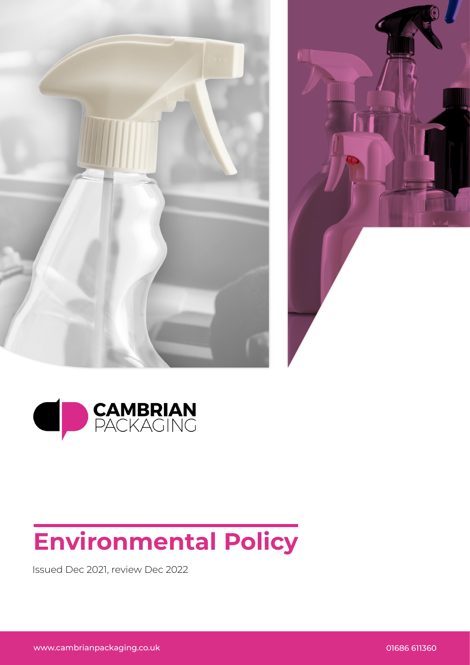





## **Environmental Policy**

Issued Dec 2021, review Dec 2022